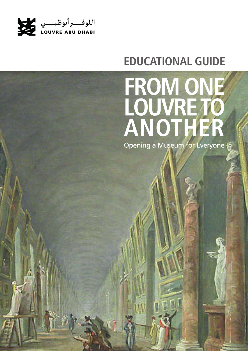

# **EDUCATIONAL GUIDE**

# FROM ONE<br>LOUVRE TO<br>ANOTHER

Opening a Museum for Everyone

*Educational Guide - Exhibition: From One Louvre to Another* **1**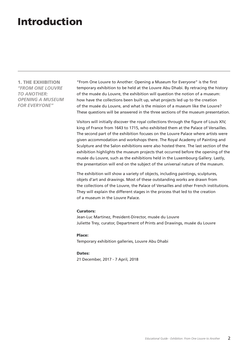## Introduction

1. THE EXHIBITION *"FROM ONE LOUVRE TO ANOTHER: OPENING A MUSEUM FOR EVERYONE"*

"From One Louvre to Another: Opening a Museum for Everyone" is the first temporary exhibition to be held at the Louvre Abu Dhabi. By retracing the history of the musée du Louvre, the exhibition will question the notion of a museum: how have the collections been built up, what projects led up to the creation of the musée du Louvre, and what is the mission of a museum like the Louvre? These questions will be answered in the three sections of the museum presentation.

Visitors will initially discover the royal collections through the figure of Louis XIV, king of France from 1643 to 1715, who exhibited them at the Palace of Versailles. The second part of the exhibition focuses on the Louvre Palace where artists were given accommodation and workshops there. The Royal Academy of Painting and Sculpture and the Salon exhibitions were also hosted there. The last section of the exhibition highlights the museum projects that occurred before the opening of the musée du Louvre, such as the exhibitions held in the Luxembourg Gallery. Lastly, the presentation will end on the subject of the universal nature of the museum.

The exhibition will show a variety of objects, including paintings, sculptures, objets d'art and drawings. Most of these outstanding works are drawn from the collections of the Louvre, the Palace of Versailles and other French institutions. They will explain the different stages in the process that led to the creation of a museum in the Louvre Palace.

#### Curators:

Jean-Luc Martinez, President-Director, musée du Louvre Juliette Trey, curator, Department of Prints and Drawings, musée du Louvre

#### Place:

Temporary exhibition galleries, Louvre Abu Dhabi

#### Dates:

21 December, 2017 - 7 April, 2018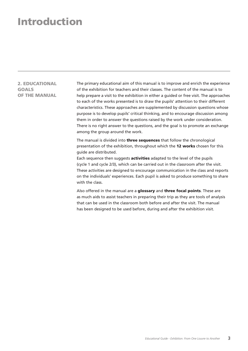## Introduction

2. EDUCATIONAL GOALS OF THE MANUAL The primary educational aim of this manual is to improve and enrich the experience of the exhibition for teachers and their classes. The content of the manual is to help prepare a visit to the exhibition in either a guided or free visit. The approaches to each of the works presented is to draw the pupils' attention to their different characteristics. These approaches are supplemented by discussion questions whose purpose is to develop pupils' critical thinking, and to encourage discussion among them in order to answer the questions raised by the work under consideration. There is no right answer to the questions, and the goal is to promote an exchange among the group around the work.

The manual is divided into **three sequences** that follow the chronological presentation of the exhibition, throughout which the 12 works chosen for this guide are distributed.

Each sequence then suggests **activities** adapted to the level of the pupils (cycle 1 and cycle 2/3), which can be carried out in the classroom after the visit. These activities are designed to encourage communication in the class and reports on the individuals' experiences. Each pupil is asked to produce something to share with the class.

Also offered in the manual are a glossary and three focal points. These are as much aids to assist teachers in preparing their trip as they are tools of analysis that can be used in the classroom both before and after the visit. The manual has been designed to be used before, during and after the exhibition visit.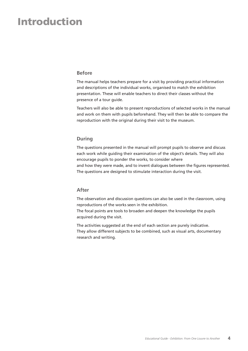## Introduction

#### **Before**

The manual helps teachers prepare for a visit by providing practical information and descriptions of the individual works, organised to match the exhibition presentation. These will enable teachers to direct their classes without the presence of a tour guide.

Teachers will also be able to present reproductions of selected works in the manual and work on them with pupils beforehand. They will then be able to compare the reproduction with the original during their visit to the museum.

#### **During**

The questions presented in the manual will prompt pupils to observe and discuss each work while guiding their examination of the object's details. They will also encourage pupils to ponder the works, to consider where and how they were made, and to invent dialogues between the figures represented. The questions are designed to stimulate interaction during the visit.

#### **After**

The observation and discussion questions can also be used in the classroom, using reproductions of the works seen in the exhibition. The focal points are tools to broaden and deepen the knowledge the pupils acquired during the visit.

The activities suggested at the end of each section are purely indicative. They allow different subjects to be combined, such as visual arts, documentary research and writing.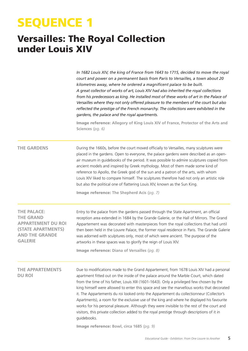# SEQUENCE 1

## Versailles: The Royal Collection under Louis XIV

*In 1682 Louis XIV, the king of France from 1643 to 1715, decided to move the royal court and power on a permanent basis from Paris to Versailles, a town about 20 kilometres away, where he ordered a magnificent palace to be built. A great collector of works of art, Louis XIV had also inherited the royal collections from his predecessors as king. He installed most of these works of art in the Palace of Versailles where they not only offered pleasure to the members of the court but also reflected the prestige of the French monarchy. The collections were exhibited in the gardens, the palace and the royal apartments.*

Image reference**: Allegory of King Louis XIV of France, Protector of the Arts and Sciences** *(pg. 6)*

#### **THE GARDENS**

During the 1660s, before the court moved officially to Versailles, many sculptures were placed in the gardens. Open to everyone, the palace gardens were described as an openair museum in guidebooks of the period. It was possible to admire sculptures copied from ancient models and inspired by Greek mythology. Most of them made some kind of reference to Apollo, the Greek god of the sun and a patron of the arts, with whom Louis XIV liked to compare himself. The sculptures therefore had not only an artistic role but also the political one of flattering Louis XIV, known as the Sun King.

Image reference: **The Shepherd Acis** *(pg. 7)*

| <b>THE PALACE:</b>    |
|-----------------------|
| THE GRAND             |
| APPARTEMENT DU ROI    |
| (STATE APARTMENTS)    |
| <b>AND THE GRANDE</b> |
| <b>GALERIE</b>        |

Entry to the palace from the gardens passed through the State Apartment, an official reception area extended in 1684 by the Grande Galerie, or the Hall of Mirrors. The Grand Appartement was decorated with masterpieces from the royal collections that had until then been held in the Louvre Palace, the former royal residence in Paris. The Grande Galerie was adorned with sculptures only, most of which were ancient. The purpose of the artworks in these spaces was to glorify the reign of Louis XIV.

Image reference: **Diana of Versailles** *(pg. 8)*

Due to modifications made to the Grand Appartement, from 1678 Louis XIV had a personal apartment fitted out on the inside of the palace around the Marble Court, which dated from the time of his father, Louis XIII (1601-1643). Only a privileged few chosen by the king himself were allowed to enter this space and see the marvellous works that decorated it. The Appartements du roi looked onto the Appartement du collectionneur (Collector's Apartments), a room for the exclusive use of the king and where he displayed his favourite works for his personal pleasure. Although they were invisible to the rest of the court and visitors, this private collection added to the royal prestige through descriptions of it in guidebooks. **THE APPARTEMENTS DU ROI**

Image reference: **Bowl, circa 1685** *(pg. 9)*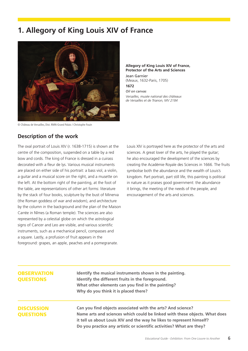## **1. Allegory of King Louis XIV of France**



© Château de Versailles, Dist. RMN-Grand Palais / Christophe Fouin

#### **Allegory of King Louis XIV of France, Protector of the Arts and Sciences**

Jean Garnier (Meaux, 1632-Paris, 1705) **1672**

*Oil on canvas Versailles, musée national des châteaux de Versailles et de Trianon, MV 2184*

#### **Description of the work**

The oval portrait of Louis XIV (r. 1638-1715) is shown at the centre of the composition, suspended on a table by a red bow and cords. The king of France is dressed in a cuirass decorated with a fleur de lys. Various musical instruments are placed on either side of his portrait: a bass viol, a violin, a guitar and a musical score on the right, and a musette on the left. At the bottom right of the painting, at the foot of the table, are representations of other art forms: literature by the stack of four books, sculpture by the bust of Minerva (the Roman goddess of war and wisdom), and architecture by the column in the background and the plan of the Maison Carrée in Nîmes (a Roman temple). The sciences are also represented by a celestial globe on which the astrological signs of Cancer and Leo are visible, and various scientific instruments, such as a mechanical pencil, compasses and a square. Lastly, a profusion of fruit appears in the foreground: grapes, an apple, peaches and a pomegranate.

Louis XIV is portrayed here as the protector of the arts and sciences. A great lover of the arts, he played the guitar; he also encouraged the development of the sciences by creating the Académie Royale des Sciences in 1666. The fruits symbolise both the abundance and the wealth of Louis's kingdom. Part portrait, part still life, this painting is political in nature as it praises good government: the abundance it brings, the meeting of the needs of the people, and encouragement of the arts and sciences.

#### **OBSERVATION OUESTIONS**

**Identify the musical instruments shown in the painting. Identify the different fruits in the foreground. What other elements can you find in the painting? Why do you think it is placed there?**

#### **DISCUSSION OUESTIONS**

**Can you find objects associated with the arts? And science? Name arts and sciences which could be linked with these objects. What does it tell us about Louis XIV and the way he likes to represent himself? Do you practice any artistic or scientific activities? What are they?**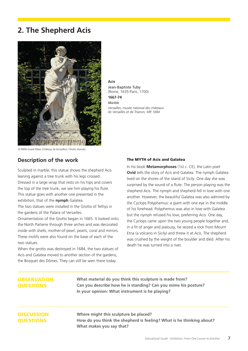## **2. The Shepherd Acis**



**Acis** Jean-Baptiste Tuby (Rome, 1635-Paris, 1700) **1667-74** *Marble Versailles, musée national des châteaux de Versailles et de Trianon, MR 1884*

© RMN-Grand Palais (Château de Versailles) / Droits réservés

#### **Description of the work**

Sculpted in marble, this statue shows the shepherd Acis leaning against a tree trunk with his legs crossed. Dressed in a large wrap that rests on his hips and covers the top of the tree trunk, we see him playing his flute. This statue goes with another one presented in the exhibition, that of the **nymph** Galatea.

The two statues were installed in the Grotto of Tethys in the gardens of the Palace of Versailles.

Ornamentation of the Grotto began in 1665. It looked onto the North Parterre through three arches and was decorated inside with shells, mother-of-pearl, pearls, coral and mirrors. These motifs were also found on the base of each of the two statues.

When the grotto was destroyed in 1684, the two statues of Acis and Galatea moved to another section of the gardens, the Bosquet des Dômes. They can still be seen there today.

#### The MYTH of Acis and Galatea

In his book **Metamorphoses** (1st c. CE), the Latin poet **Ovid** tells the story of Acis and Galatea. The nymph Galatea lived on the shores of the island of Sicily. One day she was surprised by the sound of a flute. The person playing was the shepherd Acis. The nymph and shepherd fell in love with one another. However, the beautiful Galatea was also admired by the Cyclops Polyphemus: a giant with one eye in the middle of his forehead. Polyphemus was also in love with Galatea but the nymph refused his love, preferring Acis. One day, the Cyclops came upon the two young people together and, in a fit of anger and jealousy, he seized a rock from Mount Etna (a volcano in Sicily) and threw it at Acis. The shepherd was crushed by the weight of the boulder and died. After his death he was turned into a river.

#### **OBSERVATION OUESTIONS**

**What material do you think this sculpture is made from? Can you describe how he is standing? Can you mime his posture? In your opinion: What instrument is he playing?**

#### **DISCUSSION OUESTIONS**

**Where might this sculpture be placed? How do you think the shepherd is feeling? What is he thinking about? What makes you say that?**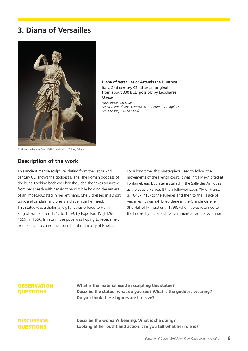## **3. Diana of Versailles**



**Diana of Versailles or Artemis the Huntress** Italy, 2nd century CE, after an original from about 330 BCE, possibly by Leochares *Marble*

*Paris, musée du Louvre, Department of Greek, Etruscan and Roman Antiquities, MR 152 (reg. no. Ma 589)*

© Musée du Louvre, Dist. RMN-Grand Palais / Thierry Ollivier

#### **Description of the work**

This ancient marble sculpture, dating from the 1st or 2nd century CE, shows the goddess Diana, the Roman goddess of the hunt. Looking back over her shoulder, she takes an arrow from her sheath with her right hand while holding the antlers of an impetuous stag in her left hand. She is dressed in a short tunic and sandals, and wears a diadem on her head. This statue was a diplomatic gift. It was offered to Henri II, king of France from 1547 to 1559, by Pope Paul IV (1476- 1559) in 1556. In return, the pope was hoping to receive help from France to chase the Spanish out of the city of Naples.

For a long time, this masterpiece used to follow the movements of the French court. It was initially exhibited at Fontainebleau but later installed in the Salle des Antiques at the Louvre Palace. It then followed Louis XIV of France (r. 1643-1715) to the Tuileries and then to the Palace of Versailles. It was exhibited there in the Grande Galerie (the Hall of Mirrors) until 1798, when it was returned to the Louvre by the French Government after the revolution.

#### **OBSERVATION OUESTIONS**

**What is the material used in sculpting this statue? Describe the statue; what do you see? What is the goddess wearing? Do you think these figures are life-size?**

#### **DISCUSSION OUESTIONS**

**Describe the woman's bearing. What is she doing? Looking at her outfit and action, can you tell what her role is?**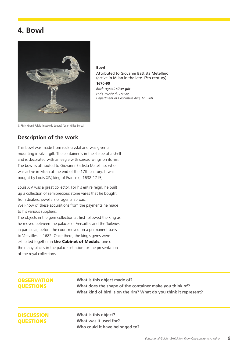## **4. Bowl**



**Bowl** Attributed to Giovanni Battista Metellino (active in Milan in the late 17th century)

*Rock crystal, silver gilt Paris, musée du Louvre, Department of Decorative Arts, MR 288*

**1670-90**

© RMN-Grand Palais (musée du Louvre) / Jean-Gilles Berizzi

#### **Description of the work**

This bowl was made from rock crystal and was given a mounting in silver gilt. The container is in the shape of a shell and is decorated with an eagle with spread wings on its rim. The bowl is attributed to Giovanni Battista Matellino, who was active in Milan at the end of the 17th century. It was bought by Louis XIV, king of France (r. 1638-1715).

Louis XIV was a great collector. For his entire reign, he built up a collection of semiprecious stone vases that he bought from dealers, jewellers or agents abroad.

We know of these acquisitions from the payments he made to his various suppliers.

The objects in the gem collection at first followed the king as he moved between the palaces of Versailles and the Tuileries in particular, before the court moved on a permanent basis to Versailles in 1682. Once there, the king's gems were exhibited together in the Cabinet of Medals, one of the many places in the palace set aside for the presentation of the royal collections.

#### **OBSERVATION** QUESTIONS

**What is this object made of? What does the shape of the container make you think of? What kind of bird is on the rim? What do you think it represent?**

#### **DISCUSSION OUESTIONS**

**What is this object? What was it used for? Who could it have belonged to?**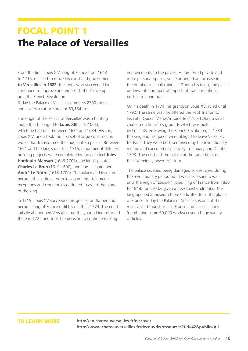## FOCAL POINT 1 The Palace of Versailles

From the time Louis XIV, king of France from 1643 to 1715, decided to move his court and government **to Versailles in 1682**, the kings who succeeded him continued to improve and embellish the Palace up until the French Revolution.

Today the Palace of Versailles numbers 2300 rooms and covers a surface area of  $63,154$  m<sup>2</sup>.

The origin of the Palace of Versailles was a hunting lodge that belonged to **Louis XIII** (r. 1610-43), which he had built between 1631 and 1634. His son, Louis XIV, undertook the first set of large construction works that transformed the lodge into a palace. Between 1661 and the king's death in 1715, a number of different building projects were completed by the architect **Jules Hardouin-Mansart** (1646-1708), the king's painter **Charles Le Brun** (1619-1690), and and his gardener **André Le Nôtre** (1613-1700). The palace and its gardens became the settings for extravagant entertainments, receptions and ceremonies designed to assert the glory of the king.

In 1715, Louis XV succeeded his great-grandfather and became king of France until his death in 1774. The court initially abandoned Versailles but the young king returned there in 1722 and took the decision to continue making

improvements to the palace. He preferred private and more personal spaces, so he arranged an increase in the number of small cabinets. During his reign, the palace underwent a number of important transformations, both inside and out.

On his death in 1774, his grandson Louis XVI ruled until 1792. The same year, he offered the Petit Trianon to his wife, Queen Marie-Antoinette (1755-1793), a small chateau on Versailles grounds which was built by Louis XV. Following the French Revolution, in 1789 the king and his queen were obliged to leave Versailles for Paris. They were both sentenced by the revolutionary regime and executed respectively in January and October 1793. The court left the palace at the same time as the sovereigns, never to return.

The palace escaped being damaged or destroyed during the revolutionary period but it was necessary to wait until the reign of Louis-Philippe, king of France from 1830 to 1848, for it to be given a new function.In 1837 the king opened a museum there dedicated to all the glories of France. Today the Palace of Versailles is one of the most visited tourist sites in France and its collections (numbering some 60,000 works) cover a huge variety of fields.

TO LEARN MORE **http://en.chateauversailles.fr/discover http://www.chateauversailles.fr/decouvrir/ressources?tid=42&public=All**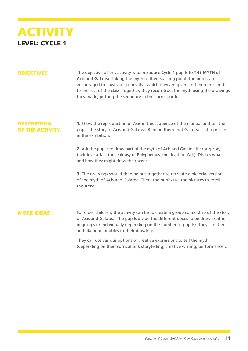

OBJECTIVES The objective of this activity is to introduce Cycle 1 pupils to **THE MYTH of Acis and Galatea**. Taking the myth as their starting point, the pupils are encouraged to illustrate a narrative which they are given and then present it to the rest of the class. Together, they reconstruct the myth using the drawings they made, putting the sequence in the correct order.

#### **DESCRIPTION** OF THE ACTIVITY

1. Show the reproduction of Acis in this sequence of the manual and tell the pupils the story of Acis and Galatea. Remind them that Galatea is also present in the exhibition.

2. Ask the pupils to draw part of the myth of Acis and Galatea (her surprise, their love affair, the jealousy of Polyphemus, the death of Acis). Discuss what and how they might draw their scene.

**3.** The drawings should then be put together to recreate a pictorial version of the myth of Acis and Galatea. Then, the pupils use the pictures to retell the story.

#### MORE IDEAS

For older children, the activity can be to create a group comic strip of the story of Acis and Galatea. The pupils divide the different boxes to be drawn (either in groups or individually depending on the number of pupils). They can then add dialogue bubbles to their drawings.

They can use various options of creative expressions to tell the myth (depending on their curriculum): storytelling, creative writing, performance…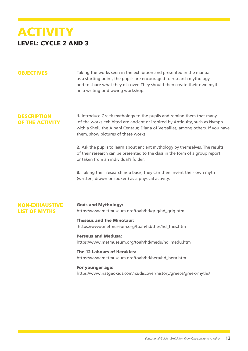## **ACTIVITY** LEVEL: CYCLE 2 AND 3

**OBJECTIVES** Taking the works seen in the exhibition and presented in the manual as a starting point, the pupils are encouraged to research mythology and to share what they discover. They should then create their own myth in a writing or drawing workshop.

#### **DESCRIPTION** OF THE ACTIVITY

1. Introduce Greek mythology to the pupils and remind them that many of the works exhibited are ancient or inspired by Antiquity, such as Nymph with a Shell, the Albani Centaur, Diana of Versailles, among others. If you have them, show pictures of these works.

2. Ask the pupils to learn about ancient mythology by themselves. The results of their research can be presented to the class in the form of a group report or taken from an individual's folder.

3. Taking their research as a basis, they can then invent their own myth (written, drawn or spoken) as a physical activity.

#### NON-EXHAUSTIVE LIST OF MYTHS

Gods and Mythology: https://www.metmuseum.org/toah/hd/grlg/hd\_grlg.htm

#### Theseus and the Minotaur:

https://www.metmuseum.org/toah/hd/thes/hd\_thes.htm

#### Perseus and Medusa:

https://www.metmuseum.org/toah/hd/medu/hd\_medu.htm

#### The 12 Labours of Herakles:

https://www.metmuseum.org/toah/hd/hera/hd\_hera.htm

#### For younger age:

https://www.natgeokids.com/nz/discover/history/greece/greek-myths/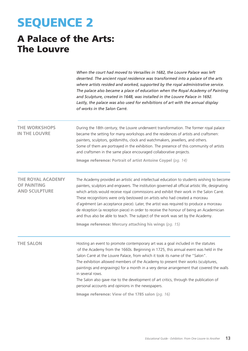# SEQUENCE 2

## A Palace of the Arts: The Louvre

|                                                                        | When the court had moved to Versailles in 1682, the Louvre Palace was left<br>deserted. The ancient royal residence was transformed into a palace of the arts<br>where artists resided and worked, supported by the royal administrative service.<br>The palace also became a place of education when the Royal Academy of Painting<br>and Sculpture, created in 1648, was installed in the Louvre Palace in 1692.<br>Lastly, the palace was also used for exhibitions of art with the annual display<br>of works in the Salon Carré.                                                                                                                                                                      |
|------------------------------------------------------------------------|------------------------------------------------------------------------------------------------------------------------------------------------------------------------------------------------------------------------------------------------------------------------------------------------------------------------------------------------------------------------------------------------------------------------------------------------------------------------------------------------------------------------------------------------------------------------------------------------------------------------------------------------------------------------------------------------------------|
| <b>THE WORKSHOPS</b><br><b>IN THE LOUVRE</b>                           | During the 18th century, the Louvre underwent transformation. The former royal palace<br>became the setting for many workshops and the residences of artists and craftsmen:<br>painters, sculptors, goldsmiths, clock and watchmakers, jewellers, and others.<br>Some of them are portrayed in the exhibition. The presence of this community of artists<br>and craftsmen in the same place encouraged collaborative projects.                                                                                                                                                                                                                                                                             |
|                                                                        | Image reference: Portrait of artist Antoine Coypel (pg. 14)                                                                                                                                                                                                                                                                                                                                                                                                                                                                                                                                                                                                                                                |
| <b>THE ROYAL ACADEMY</b><br><b>OF PAINTING</b><br><b>AND SCULPTURE</b> | The Academy provided an artistic and intellectual education to students wishing to become<br>painters, sculptors and engravers. The institution governed all official artistic life, designating<br>which artists would receive royal commissions and exhibit their work in the Salon Carré.<br>These recognitions were only bestowed on artists who had created a morceau<br>d'agrément (an acceptance piece). Later, the artist was required to produce a morceau<br>de réception (a reception piece) in order to receive the honour of being an Academician<br>and thus also be able to teach. The subject of the work was set by the Academy.<br>Image reference: Mercury attaching his wings (pg. 15) |
| <b>THE SALON</b>                                                       | Hosting an event to promote contemporary art was a goal included in the statutes<br>of the Academy from the 1660s. Beginning in 1725, this annual event was held in the<br>Salon Carré at the Louvre Palace, from which it took its name of the "Salon".<br>The exhibition allowed members of the Academy to present their works (sculptures,<br>paintings and engravings) for a month in a very dense arrangement that covered the walls<br>in several rows.<br>The Salon also gave rise to the development of art critics, through the publication of<br>personal accounts and opinions in the newspapers.<br>Image reference: View of the 1785 salon (pg. 16)                                           |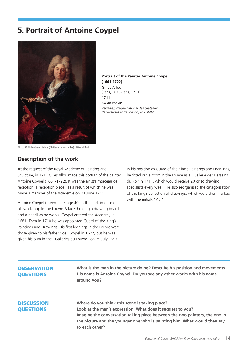## **5. Portrait of Antoine Coypel**



**Portrait of the Painter Antoine Coypel (1661-1722)** Gilles Allou (Paris, 1670-Paris, 1751) **1711** *Oil on canvas Versailles, musée national des châteaux de Versailles et de Trianon, MV 3682*

Photo © RMN-Grand Palais (Château de Versailles) / Gérard Blot

#### **Description of the work**

At the request of the Royal Academy of Painting and Sculpture, in 1711 Gilles Allou made this portrait of the painter Antoine Coypel (1661-1722). It was the artist's morceau de réception (a reception piece), as a result of which he was made a member of the Académie on 21 June 1711.

Antoine Coypel is seen here, age 40, in the dark interior of his workshop in the Louvre Palace, holding a drawing board and a pencil as he works. Coypel entered the Academy in 1681. Then in 1710 he was appointed Guard of the King's Paintings and Drawings. His first lodgings in the Louvre were those given to his father Noël Coypel in 1672, but he was given his own in the "Galleries du Louvre" on 29 July 1697.

In his position as Guard of the King's Paintings and Drawings, he fitted out a room in the Louvre as a "Gallerie des Desseins du Roi"in 1711, which would receive 20 or so drawing specialists every week. He also reorganised the categorisation of the king's collection of drawings, which were then marked with the initials "AC".

#### **OBSERVATION** QUESTIONS

**What is the man in the picture doing? Describe his position and movements. His name is Antoine Coypel. Do you see any other works with his name around you?**

#### **DISCUSSION** QUESTIONS

**Where do you think this scene is taking place? Look at the man's expression. What does it suggest to you? Imagine the conversation taking place between the two painters, the one in the picture and the younger one who is painting him. What would they say to each other?**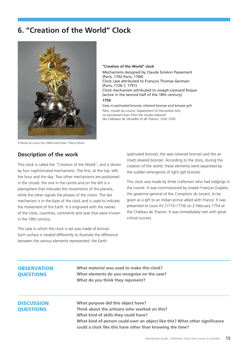## **6. "Creation of the World" Clock**



**"Creation of the World" clock**

Mechanisms designed by Claude Siméon Passemant (Paris, 1702-Paris, 1769) Clock case attributed to François Thomas Germain (Paris, 1726-?, 1791) Clock mechanism attributed to Joseph-Léonard Roque (active in the second half of the 18th century) **1754**

*Case in patinated bronze, silvered bronze and bronze gilt Paris, musée du Louvre, Department of Decorative Arts, on permanent loan from the musée national des châteaux de Versailles et de Trianon, Vmb 1036*

© Musée du Louvre, Dist. RMN-Grand Palais / Thierry Ollivier

#### **Description of the work**

This clock is called the "Creation of the World", and is driven by four sophisticated mechanisms. The first, at the top, tells the hour and the day. Two other mechanisms are positioned in the clouds: the one in the centre and on the left is a planisphere that indicates the movements of the planets, while the other signals the phases of the moon. The last mechanism is in the base of the clock and is used to indicate the movement of the Earth. It is engraved with the names of the cities, countries, continents and seas that were known in the 18th century.

The case in which the clock is set was made of bronze. Each surface is treated differently to illustrate the difference between the various elements represented: the Earth

(patinated bronze), the seas (silvered bronze) and the air (matt silvered bronze). According to the story, during the creation of the world, these elements were separated by the sudden emergence of light (gilt bronze).

This clock was made by three craftsmen who had lodgings in the Louvre. It was commissioned by Joseph François Dupleix, the governor-general of the Comptoirs du Levant, to be given as a gift to an Indian prince allied with France. It was presented to Louis XV (1710-1774) on 2 February 1754 at the Château de Trianon. It was immediately met with great critical success.

#### **OBSERVATION** QUESTIONS

**What material was used to make this clock? What elements do you recognise on the case? What do you think they represent?** 

#### **DISCUSSION** QUESTIONS

**What purpose did this object have? Think about the artisans who worked on this? What kind of skills they could have? What kind of person could own an object like this? What other significance could a clock like this have other than knowing the time?**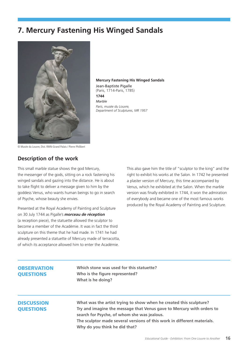## **7. Mercury Fastening His Winged Sandals**



**Mercury Fastening His Winged Sandals** Jean-Baptiste Pigalle (Paris, 1714-Paris, 1785) **1744** *Marble Paris, musée du Louvre, Department of Sculptures, MR 1957*

© Musée du Louvre, Dist. RMN-Grand Palais / Pierre Philibert

#### **Description of the work**

This small marble statue shows the god Mercury, the messenger of the gods, sitting on a rock fastening his winged sandals and gazing into the distance. He is about to take flight to deliver a message given to him by the goddess Venus, who wants human beings to go in search of Psyche, whose beauty she envies.

Presented at the Royal Academy of Painting and Sculpture on 30 July 1744 as Pigalle's *morceau de réception*  (a reception piece), the statuette allowed the sculptor to become a member of the Académie. It was in fact the third sculpture on this theme that he had made. In 1741 he had already presented a statuette of Mercury made of terracotta, of which its acceptance allowed him to enter the Académie.

This also gave him the title of "sculptor to the king" and the right to exhibit his works at the Salon. In 1742 he presented a plaster version of Mercury, this time accompanied by Venus, which he exhibited at the Salon. When the marble version was finally exhibited in 1744, it won the admiration of everybody and became one of the most famous works produced by the Royal Academy of Painting and Sculpture.

#### **OBSERVATION** QUESTIONS

**Which stone was used for this statuette? Who is the figure represented? What is he doing?**

#### **DISCUSSION** QUESTIONS

**What was the artist trying to show when he created this sculpture? Try and imagine the message that Venus gave to Mercury with orders to search for Psyche, of whom she was jealous. The sculptor made several versions of this work in different materials. Why do you think he did that?**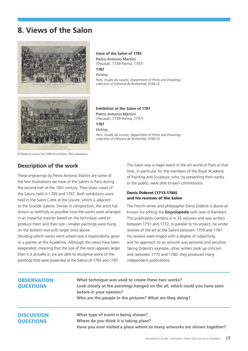## **8. Views of the Salon**



**View of the Salon of 1785** Pietro Antonio Martini (Trecasali, 1739-Parma, 1797) **1787** *Etching Paris, musée du Louvre, Department of Prints and Drawings, collection of Edmond de Rothschild, 5394 LR* 

**Exhibition at the Salon of 1787** Pietro Antonio Martini (Trecasali, 1739-Parma, 1797) **1787** *Etching Paris, musée du Louvre, Department of Prints and Drawings, collection of Edmond de Rothschild, 5395 LR* 

© Musée du Louvre, Dist. RMN-Grand Palais / Marc Jeanneteau

#### **Description of the work**

These engravings by Pietro Antonio Martini are some of the few illustrations we have of the Salons in Paris during the second half of the 18th century. They show views of the Salons held in 1785 and 1787. Both exhibitions were held in the Salon Carré at the Louvre, which is adjacent to the Grande Galerie. Similar in composition, the artist has shown as faithfully as possible how the works were arranged in an impartial manner based on the technique used to produce them and their size - smaller paintings were hung on the bottom row with larger ones above.

Deciding which works went where was a responsibility given to a painter at the Académie. Although the views have been exagerated, meaning that the size of the room appears larger than it is actually is, we are able to recognise some of the paintings that were presented at the Salons of 1785 and 1787.

The Salon was a major event in the art world of Paris at that time, in particular for the members of the Royal Academy of Painting and Sculpture, who, by presenting their works to the public, were able to earn commissions.

#### Denis Diderot (1713-1784) and his reviews of the Salon

The French writer and philosopher Denis Diderot is above all known for editing the *Encyclopédie* with Jean d'Alembert. This publication contains is in 35 volumes and was written between 1751 and 1772. In parallel to his project, he wrote reviews of the art at the Salons between 1759 and 1781. His reviews were tinged with a degree of subjectivity and his approach to an artwork was personal and sensitive. Taking Diderot's example, other writers took up criticism and, between 1770 and 1780, they produced many independent publications.

#### **OBSERVATION** QUESTIONS

**What technique was used to create these two works? Look closely at the paintings hanged on the all, which could you have seen before in your opinion? Who are the people in the pictures? What are they doing?**

#### **DISCUSSION OUESTIONS**

**What type of event is being shown? Where do you think it is taking place? Have you ever visited a place where so many artworks are shown together?**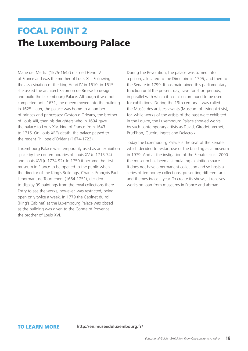## FOCAL POINT 2 The Luxembourg Palace

Marie de' Medici (1575-1642) married Henri IV of France and was the mother of Louis XIII. Following the assassination of the king Henri IV in 1610, in 1615 she asked the architect Salomon de Brosse to design and build the Luxembourg Palace. Although it was not completed until 1631, the queen moved into the building in 1625. Later, the palace was home to a number of princes and princesses: Gaston d'Orléans, the brother of Louis XIII, then his daughters who in 1694 gave the palace to Louis XIV, king of France from 1643 to 1715. On Louis XIV's death, the palace passed to the regent Philippe d'Orléans (1674-1723).

Luxembourg Palace was temporarily used as an exhibition space by the contemporaries of Louis XV (r. 1715-74) and Louis XVI (r. 1774-92). In 1750 it became the first museum in France to be opened to the public when the director of the King's Buildings, Charles François Paul Lenormant de Tournehem (1684-1751), decided to display 99 paintings from the royal collections there. Entry to see the works, however, was restricted, being open only twice a week. In 1779 the Cabinet du roi (King's Cabinet) at the Luxembourg Palace was closed as the building was given to the Comte of Provence, the brother of Louis XVI.

During the Revolution, the palace was turned into a prison, allocated to the Directoire in 1795, and then to the Senate in 1799. It has maintained this parliamentary function until the present day, save for short periods, in parallel with which it has also continued to be used for exhibitions. During the 19th century it was called the Musée des artistes vivants (Museum of Living Artists), for, while works of the artists of the past were exhibited in the Louvre, the Luxembourg Palace showed works by such contemporary artists as David, Girodet, Vernet, Prud'hon, Guérin, Ingres and Delacroix.

Today the Luxembourg Palace is the seat of the Senate, which decided to restart use of the building as a museum in 1979. And at the instigation of the Senate, since 2000 the museum has been a stimulating exhibition space. It does not have a permanent collection and so hosts a series of temporary collections, presenting different artists and themes twice a year. To create its shows, it receives works on loan from museums in France and abroad.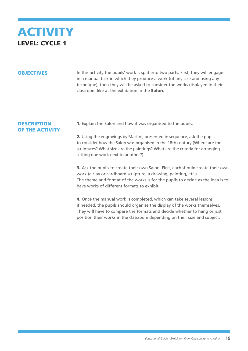

**OBJECTIVES** In this activity the pupils' work is split into two parts. First, they will engage in a manual task in which they produce a work (of any size and using any technique), then they will be asked to consider the works displayed in their classroom like at the exhibition in the Salon.

#### **DESCRIPTION** OF THE ACTIVITY

1. Explain the Salon and how it was organised to the pupils.

2. Using the engravings by Martini, presented in sequence, ask the pupils to consider how the Salon was organised in the 18th century (Where are the sculptures? What size are the paintings? What are the criteria for arranging setting one work next to another?)

3. Ask the pupils to create their own Salon. First, each should create their own work (a clay or cardboard sculpture, a drawing, painting, etc.). The theme and format of the works is for the pupils to decide as the idea is to have works of different formats to exhibit.

4. Once the manual work is completed, which can take several lessons if needed, the pupils should organise the display of the works themselves. They will have to compare the formats and decide whether to hang or just position their works in the classroom depending on their size and subject.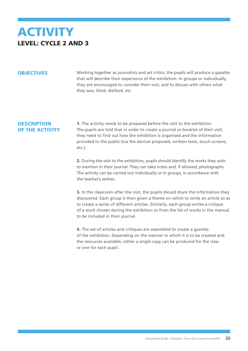## **ACTIVITY** LEVEL: CYCLE 2 AND 3

**OBJECTIVES** Working together as journalists and art critics, the pupils will produce a gazette that will describe their experience of the exhibition. In groups or individually, they are encouraged to consider their visit, and to discuss with others what they saw, liked, disliked, etc.

#### **DESCRIPTION** OF THE ACTIVITY

**1.** The activity needs to be prepared before the visit to the exhibition. The pupils are told that in order to create a journal or booklet of their visit, they need to find out how the exhibition is organised and the information provided to the public (via the devices proposed, written texts, touch screens, etc.).

2. During the visit to the exhibition, pupils should identify the works they wish to mention in their journal. They can take notes and, if allowed, photographs. The activity can be carried out individually or in groups, in accordance with the teacher's wishes.

3. In the classroom after the visit, the pupils should share the information they discovered. Each group is then given a theme on which to write an article so as to create a series of different articles. Similarly, each group writes a critique of a work chosen during the exhibition or from the list of works in the manual to be included in their journal.

4. The set of articles and critiques are assembled to create a gazette of the exhibition. Depending on the manner in which it is to be created and the resources available, either a single copy can be produced for the class or one for each pupil.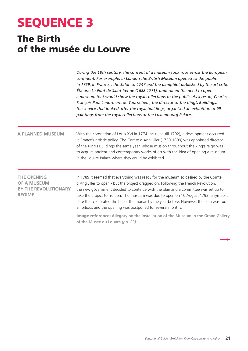# SEQUENCE 3

## The Birth of the musée du Louvre

*During the 18th century, the concept of a museum took root across the European continent. For example, in London the British Museum opened to the public in 1759. In France, , the Salon of 1747 and the pamphlet published by the art critic Étienne La Font de Saint-Yenne (1688-1771), underlined the need to open a museum that would show the royal collections to the public. As a result, Charles François Paul Lenormant de Tournehem, the director of the King's Buildings, the service that looked after the royal buildings, organised an exhibition of 99 paintings from the royal collections at the Luxembourg Palace..*

#### **A PLANNED MUSEUM**

With the coronation of Louis XVI in 1774 (he ruled till 1792), a development occurred in France's artistic policy. The Comte d'Angiviller (1730-1809) was appointed director of the King's Buildings the same year, whose mission throughout the king's reign was to acquire ancient and contemporary works of art with the idea of opening a museum in the Louvre Palace where they could be exhibited.

| <b>THE OPENING</b>          |  |  |
|-----------------------------|--|--|
| <b>OF A MUSEUM</b>          |  |  |
| <b>BY THE REVOLUTIONARY</b> |  |  |
| <b>REGIME</b>               |  |  |

In 1789 it seemed that everything was ready for the museum so desired by the Comte d'Angiviller to open - but the project dragged on. Following the French Revolution, the new government decided to continue with the plan and a committee was set up to take the project to fruition. The museum was due to open on 10 August 1793, a symbolic date that celebrated the fall of the monarchy the year before. However, the plan was too ambitious and the opening was postponed for several months.

Image reference: **Allegory on the Installation of the Museum in the Grand Gallery of the Musée du Louvre** *(pg. 23)*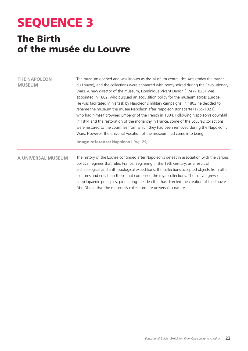# SEQUENCE 3

## The Birth of the musée du Louvre

| <b>THE NAPOLEON</b><br><b>MUSEUM</b> | The museum opened and was known as the Muséum central des Arts (today the musée<br>du Louvre), and the collections were enhanced with booty seized during the Revolutionary<br>Wars. A new director of the museum, Dominique Vivant Denon (1747-1825), was<br>appointed in 1802, who pursued an acquisition policy for the museum across Europe.<br>He was facilitated in his task by Napoleon's military campaigns. In 1803 he decided to<br>rename the museum the musée Napoléon after Napoleon Bonaparte (1769-1821),<br>who had himself crowned Emperor of the French in 1804. Following Napoleon's downfall<br>in 1814 and the restoration of the monarchy in France, some of the Louvre's collections<br>were restored to the countries from which they had been removed during the Napoleonic<br>Wars. However, the universal vocation of the museum had come into being.<br>Image reference: Napoleon I (pg. 25) |
|--------------------------------------|--------------------------------------------------------------------------------------------------------------------------------------------------------------------------------------------------------------------------------------------------------------------------------------------------------------------------------------------------------------------------------------------------------------------------------------------------------------------------------------------------------------------------------------------------------------------------------------------------------------------------------------------------------------------------------------------------------------------------------------------------------------------------------------------------------------------------------------------------------------------------------------------------------------------------|
| A UNIVERSAL MUSEUM                   | The history of the Louvre continued after Napoleon's defeat in association with the various<br>political regimes that ruled France. Beginning in the 19th century, as a result of<br>archaeological and anthropological expeditions, the collections accepted objects from other<br>cultures and eras than those that comprised the royal collections. The Louvre grew on<br>encyclopaedic principles, pioneering the idea that has directed the creation of the Louvre<br>Abu Dhabi: that the museum's collections are universal in nature.                                                                                                                                                                                                                                                                                                                                                                             |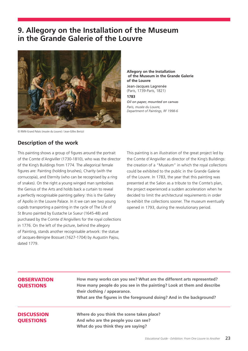## **9. Allegory on the Installation of the Museum in the Grande Galerie of the Louvre**



© RMN-Grand Palais (musée du Louvre) / Jean-Gilles Berizzi

#### **of the Museum in the Grande Galerie of the Louvre** Jean-Jacques Lagrenée

(Paris, 1739-Paris, 1821) **1783** *Oil on paper, mounted on canvas Paris, musée du Louvre, Department of Paintings, RF 1998-6*

**Allegory on the Installation** 

#### **Description of the work**

This painting shows a group of figures around the portrait of the Comte d'Angiviller (1730-1810), who was the director of the King's Buildings from 1774. The allegorical female figures are: Painting (holding brushes), Charity (with the cornucopia), and Eternity (who can be recognised by a ring of snakes). On the right a young winged man symbolises the Genius of the Arts and holds back a curtain to reveal a perfectly recognisable painting gallery: this is the Gallery of Apollo in the Louvre Palace. In it we can see two young cupids transporting a painting in the cycle of The Life of St Bruno painted by Eustache Le Sueur (1645-48) and purchased by the Comte d'Angivillers for the royal collections in 1776. On the left of the picture, behind the allegory of Painting, stands another recognisable artwork: the statue of Jacques-Bénigne Bossuet (1627-1704) by Augustin Pajou, dated 1779.

This painting is an illustration of the great project led by the Comte d'Angiviller as director of the King's Buildings: the creation of a "Muséum" in which the royal collections could be exhibited to the public in the Grande Galerie of the Louvre. In 1783, the year that this painting was presented at the Salon as a tribute to the Comte's plan, the project experienced a sudden acceleration when he decided to limit the architectural requirements in order to exhibit the collections sooner. The museum eventually opened in 1793, during the revolutionary period.

#### **OBSERVATION** QUESTIONS

**How many works can you see? What are the different arts represented? How many people do you see in the painting? Look at them and describe their clothing / appearance. What are the figures in the foreground doing? And in the background?**

#### **DISCUSSION OUESTIONS**

**Where do you think the scene takes place? And who are the people you can see? What do you think they are saying?**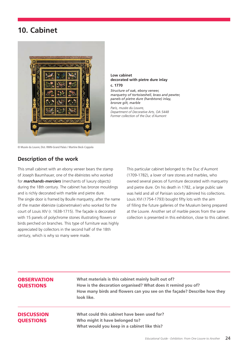## **10. Cabinet**



#### **Low cabinet decorated with pietre dure inlay**

*Former collection of the Duc d'Aumont*

**c. 1770** *Structure of oak, ebony veneer, marquetry of tortoiseshell, brass and pewter, panels of pietre dure (hardstone) inlay, bronze gilt, marble Paris, musée du Louvre, Department of Decorative Arts, OA 5448*

© Musée du Louvre, Dist. RMN-Grand Palais / Martine Beck-Coppola

#### **Description of the work**

This small cabinet with an ebony veneer bears the stamp of Joseph Baumhauer, one of the ébénistes who worked for *marchands-merciers* (merchants of luxury objects) during the 18th century. The cabinet has bronze mouldings and is richly decorated with marble and pietre dure. The single door is framed by Boulle marquetry, after the name of the master ébéniste (cabinetmaker) who worked for the court of Louis XIV (r. 1638-1715). The façade is decorated with 15 panels of polychrome stones illustrating flowers or birds perched on branches. This type of furniture was highly appreciated by collectors in the second half of the 18th century, which is why so many were made.

This particular cabinet belonged to the Duc d'Aumont (1709-1782), a lover of rare stones and marbles, who owned several pieces of furniture decorated with marquetry and pietre dure. On his death in 1782, a large public sale was held and all of Parisian society admired his collections. Louis XVI (1754-1793) bought fifty lots with the aim of filling the future galleries of the Muséum being prepared at the Louvre. Another set of marble pieces from the same collection is presented in this exhibition, close to this cabinet.

#### **OBSERVATION** QUESTIONS

**What materials is this cabinet mainly built out of? How is the decoration organised? What does it remind you of? How many birds and flowers can you see on the façade? Describe how they look like.** 

#### **DISCUSSION OUESTIONS**

**What could this cabinet have been used for? Who might it have belonged to? What would you keep in a cabinet like this?**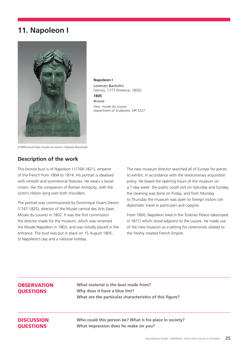## **11. Napoleon I**



**Napoleon I** Lorenzo Bartolini (Vernio, 1777-Florence, 1850) **1805** *Bronze Paris, musée du Louvre, Department of Sculptures, MR 3327*

© RMN-Grand Palais (musée du Louvre) / Stéphane Maréchalle

#### **Description of the work**

This bronze bust is of Napoleon I (1769-1821), emperor of the French from 1804 to 1814. His portrait is idealised with smooth and symmetrical features. He wears a laurel crown, like the conquerors of Roman Antiquity, with the victor's ribbon lying over both shoulders.

The portrait was commissioned by Dominique Vivant Denon (1747-1825), director of the Musée central des Arts (later Musée du Louvre) in 1802. It was the first commission the director made for the museum, which was renamed the Musée Napoléon in 1803, and was initially placed in the entrance. The bust was put in place on 15 August 1805, St Napoleon's day and a national holiday.

The new museum director searched all of Europe for pieces to exhibit, in accordance with the revolutionary acquisition policy. He based the opening hours of the museum on a 7-day week: the public could visit on Saturday and Sunday, the cleaning was done on Friday, and from Monday to Thursday the museum was open to foreign visitors (on diplomatic travel in particular) and copyists.

From 1800, Napoleon lived in the Tuileries Palace (destroyed in 1871) which stood adjacent to the Louvre. He made use of the new museum as a setting for ceremonies related to the freshly created French Empire.

#### **OBSERVATION OUESTIONS**

**What material is the bust made from? Why does it have a blue tint? What are the particular characteristics of this figure?**

#### **DISCUSSION OUESTIONS**

**Who could this person be? What is his place in society? What impression does he make on you?**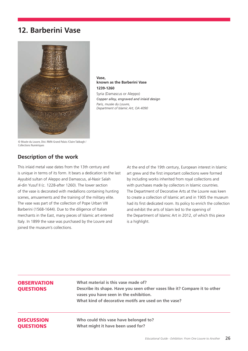## **12. Barberini Vase**



**Vase, known as the Barberini Vase 1239-1260** Syria (Damascus or Aleppo) *Copper alloy, engraved and inlaid design Paris, musée du Louvre, Department of Islamic Art, OA 4090*

© Musée du Louvre, Dist. RMN-Grand Palais /Claire Tabbagh / Collections Numériques

#### **Description of the work**

This inlaid metal vase dates from the 13th century and is unique in terms of its form. It bears a dedication to the last Ayyubid sultan of Aleppo and Damascus, al-Nasir Salah al-din Yusuf II (c. 1228-after 1260). The lower section of the vase is decorated with medallions containing hunting scenes, amusements and the training of the military elite. The vase was part of the collection of Pope Urban VIII Barberini (1568-1644). Due to the diligence of Italian merchants in the East, many pieces of Islamic art entered Italy. In 1899 the vase was purchased by the Louvre and joined the museum's collections.

At the end of the 19th century, European interest in Islamic art grew and the first important collections were formed by including works inherited from royal collections and with purchases made by collectors in Islamic countries. The Department of Decorative Arts at the Louvre was keen to create a collection of Islamic art and in 1905 the museum had its first dedicated room. Its policy to enrich the collection and exhibit the arts of Islam led to the opening of the Department of Islamic Art in 2012, of which this piece is a highlight.

#### **OBSERVATION** QUESTIONS

**What material is this vase made of? Describe its shape. Have you seen other vases like it? Compare it to other vases you have seen in the exhibition. What kind of decorative motifs are used on the vase?**

#### **DISCUSSION OUESTIONS**

**Who could this vase have belonged to? What might it have been used for?**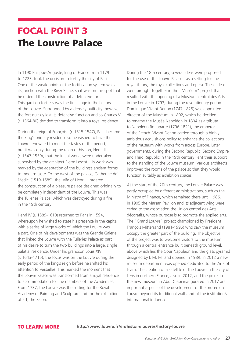## FOCAL POINT 3 The Louvre Palace

In 1190 Philippe-Auguste, king of France from 1179 to 1223, took the decision to fortify the city of Paris. One of the weak points of the fortification system was at its junction with the River Seine, so it was on this spot that he ordered the construction of a defensive fort. This garrison fortress was the first stage in the history of the Louvre. Surrounded by a densely built city, however, the fort quickly lost its defensive function and so Charles V (r. 1364-80) decided to transform it into a royal residence.

During the reign of François I (r. 1515-1547), Paris became the king's primary residence so he wished to have the Louvre renovated to meet the tastes of the period, but it was only during the reign of his son, Henri II (r. 1547-1559), that the initial works were undertaken, supervised by the architect Pierre Lescot. His work was marked by the adaptation of the building's ancient forms to modern taste. To the west of the palace, Catherine de' Medici (1519-1589), the wife of Henri II, ordered the construction of a pleasure palace designed originally to be completely independent of the Louvre. This was the Tuileries Palace, which was destroyed during a fire in the 19th century.

Henri IV (r. 1589-1610) returned to Paris in 1594, whereupon he wished to state his presence in the capital with a series of large works of which the Louvre was a part. One of his developments was the Grande Galerie that linked the Louvre with the Tuileries Palace as part of his desire to turn the two buildings into a large, single palatial residence. Under his grandson Louis XIV (r. 1643-1715), the focus was on the Louvre during the early period of the king's reign before he shifted his attention to Versailles. This marked the moment that the Louvre Palace was transformed from a royal residence to accommodation for the members of the Académies. From 1737, the Louvre was the setting for the Royal Academy of Painting and Sculpture and for the exhibition of art, the Salon.

During the 18th century, several ideas were proposed for the use of the Louvre Palace - as a setting for the royal library, the royal collections and opera. These ideas were brought together in the "Muséum" project that resulted with the opening of a Muséum central des Arts in the Louvre in 1793, during the revolutionary period. Dominique Vivant Denon (1747-1825) was appointed director of the Muséum in 1802, which he decided to rename the Musée Napoléon in 1804 as a tribute to Napoléon Bonaparte (1796-1821), the emperor of the French. Vivant Denon carried through a highly ambitious acquisitions policy to enhance the collections of the museum with works from across Europe. Later governments, during the Second Republic, Second Empire and Third Republic in the 19th century, lent their support to the standing of the Louvre museum. Various architects improved the rooms of the palace so that they would function suitably as exhibition spaces.

At the start of the 20th century, the Louvre Palace was partly occupied by different administrations, such as the Ministry of Finance, which remained there until 1986. In 1905 the Marsan Pavilion and its adjacent wing were ceded to the association the Union central des Arts décoratifs, whose purpose is to promote the applied arts. The "Grand Louvre" project championed by President François Mitterrand (1981-1996) who saw the museum occupy the greater part of the building. The objective of the project was to welcome visitors to the museum through a central entrance built beneath ground level, above which lies the Cour Napoléon and the glass pyramid designed by I. M. Pei and opened in 1989. In 2012 a new museum department was opened dedicated to the Arts of Islam. The creation of a satellite of the Louvre in the city of Lens in northern France, also in 2012, and the project of the new museum in Abu Dhabi inaugurated in 2017 are important aspects of the development of the musée du Louvre beyond its traditional walls and of the institution's international influence.

TO LEARN MORE **http://www.louvre.fr/en/histoirelouvres/history-louvre**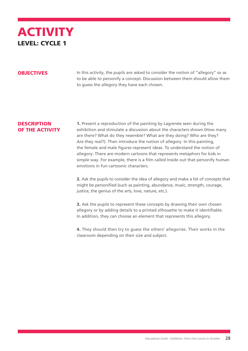

**OBJECTIVES** In this activity, the pupils are asked to consider the notion of "allegory" so as to be able to personify a concept. Discussion between them should allow them to guess the allegory they have each chosen.

#### **DESCRIPTION** OF THE ACTIVITY

1. Present a reproduction of the painting by Lagrenée seen during the exhibition and stimulate a discussion about the characters shown (How many are there? What do they resemble? What are they doing? Who are they? Are they real?). Then introduce the notion of allegory. In this painting, the female and male figures represent ideas. To understand the notion of allegory: There are modern cartoons that represents metaphors for kids in simple way. For example, there is a film called Inside out that personify human emotions in fun cartoonic characters.

2. Ask the pupils to consider the idea of allegory and make a list of concepts that might be personified (such as painting, abundance, music, strength, courage, justice, the genius of the arts, love, nature, etc.).

**3.** Ask the pupils to represent these concepts by drawing their own chosen allegory or by adding details to a printed silhouette to make it identifiable. In addition, they can choose an element that represents this allegory.

4. They should then try to guess the others' allegories. Their works in the classroom depending on their size and subject.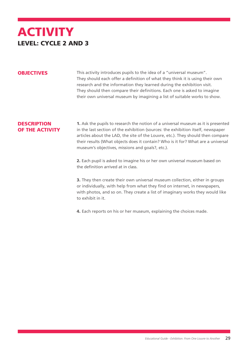## **ACTIVITY** LEVEL: CYCLE 2 AND 3

**OBJECTIVES** This activity introduces pupils to the idea of a "universal museum". They should each offer a definition of what they think it is using their own research and the information they learned during the exhibition visit. They should then compare their definitions. Each one is asked to imagine their own universal museum by imagining a list of suitable works to show.

#### **DESCRIPTION** OF THE ACTIVITY

1. Ask the pupils to research the notion of a universal museum as it is presented in the last section of the exhibition (sources: the exhibition itself, newspaper articles about the LAD, the site of the Louvre, etc.). They should then compare their results (What objects does it contain? Who is it for? What are a universal museum's objectives, missions and goals?, etc.).

2. Each pupil is asked to imagine his or her own universal museum based on the definition arrived at in class.

3. They then create their own universal museum collection, either in groups or individually, with help from what they find on internet, in newspapers, with photos, and so on. They create a list of imaginary works they would like to exhibit in it.

4. Each reports on his or her museum, explaining the choices made.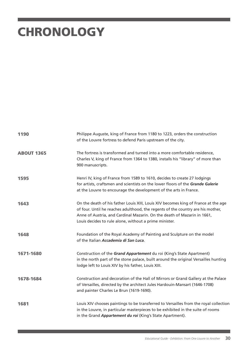# **CHRONOLOGY**

| 1190              | Philippe Auguste, king of France from 1180 to 1223, orders the construction<br>of the Louvre fortress to defend Paris upstream of the city.                                                                                                                                                                |
|-------------------|------------------------------------------------------------------------------------------------------------------------------------------------------------------------------------------------------------------------------------------------------------------------------------------------------------|
| <b>ABOUT 1365</b> | The fortress is transformed and turned into a more comfortable residence,<br>Charles V, king of France from 1364 to 1380, installs his "library" of more than<br>900 manuscripts.                                                                                                                          |
| 1595              | Henri IV, king of France from 1589 to 1610, decides to create 27 lodgings<br>for artists, craftsmen and scientists on the lower floors of the Grande Galerie<br>at the Louvre to encourage the development of the arts in France.                                                                          |
| 1643              | On the death of his father Louis XIII, Louis XIV becomes king of France at the age<br>of four. Until he reaches adulthood, the regents of the country are his mother,<br>Anne of Austria, and Cardinal Mazarin. On the death of Mazarin in 1661,<br>Louis decides to rule alone, without a prime minister. |
| 1648              | Foundation of the Royal Academy of Painting and Sculpture on the model<br>of the Italian Accademia di San Luca.                                                                                                                                                                                            |
| 1671-1680         | Construction of the Grand Appartement du roi (King's State Apartment)<br>in the north part of the stone palace, built around the original Versailles hunting<br>lodge left to Louis XIV by his father, Louis XIII.                                                                                         |
| 1678-1684         | Construction and decoration of the Hall of Mirrors or Grand Gallery at the Palace<br>of Versailles, directed by the architect Jules Hardouin-Mansart (1646-1708)<br>and painter Charles Le Brun (1619-1690).                                                                                               |
| 1681              | Louis XIV chooses paintings to be transferred to Versailles from the royal collection<br>in the Louvre, in particular masterpieces to be exhibited in the suite of rooms<br>in the Grand Appartement du roi (King's State Apartment).                                                                      |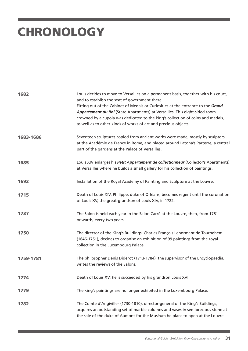# **CHRONOLOGY**

| 1682      | Louis decides to move to Versailles on a permanent basis, together with his court,<br>and to establish the seat of government there.<br>Fitting out of the Cabinet of Medals or Curiosities at the entrance to the Grand<br>Appartement du Roi (State Apartments) at Versailles. This eight-sided room<br>crowned by a cupola was dedicated to the king's collection of coins and medals,<br>as well as to other kinds of works of art and precious objects. |
|-----------|--------------------------------------------------------------------------------------------------------------------------------------------------------------------------------------------------------------------------------------------------------------------------------------------------------------------------------------------------------------------------------------------------------------------------------------------------------------|
| 1683-1686 | Seventeen sculptures copied from ancient works were made, mostly by sculptors<br>at the Académie de France in Rome, and placed around Latona's Parterre, a central<br>part of the gardens at the Palace of Versailles.                                                                                                                                                                                                                                       |
| 1685      | Louis XIV enlarges his Petit Appartement de collectionneur (Collector's Apartments)<br>at Versailles where he builds a small gallery for his collection of paintings.                                                                                                                                                                                                                                                                                        |
| 1692      | Installation of the Royal Academy of Painting and Sculpture at the Louvre.                                                                                                                                                                                                                                                                                                                                                                                   |
| 1715      | Death of Louis XIV. Philippe, duke of Orléans, becomes regent until the coronation<br>of Louis XV, the great-grandson of Louis XIV, in 1722.                                                                                                                                                                                                                                                                                                                 |
| 1737      | The Salon is held each year in the Salon Carré at the Louvre, then, from 1751<br>onwards, every two years.                                                                                                                                                                                                                                                                                                                                                   |
| 1750      | The director of the King's Buildings, Charles François Lenormant de Tournehem<br>(1646-1751), decides to organise an exhibition of 99 paintings from the royal<br>collection in the Luxembourg Palace.                                                                                                                                                                                                                                                       |
| 1759-1781 | The philosopher Denis Diderot (1713-1784), the supervisor of the Encyclopaedia,<br>writes the reviews of the Salons.                                                                                                                                                                                                                                                                                                                                         |
| 1774      | Death of Louis XV; he is succeeded by his grandson Louis XVI.                                                                                                                                                                                                                                                                                                                                                                                                |
| 1779      | The king's paintings are no longer exhibited in the Luxembourg Palace.                                                                                                                                                                                                                                                                                                                                                                                       |
| 1782      | The Comte d'Angiviller (1730-1810), director-general of the King's Buildings,<br>acquires an outstanding set of marble columns and vases in semiprecious stone at<br>the sale of the duke of Aumont for the Muséum he plans to open at the Louvre.                                                                                                                                                                                                           |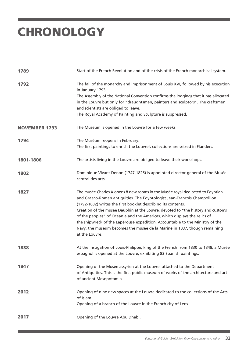# **CHRONOLOGY**

| 1789                 | Start of the French Revolution and of the crisis of the French monarchical system.                                                                                                                                                                                                                                                                                                                                                                                                                                                                                           |
|----------------------|------------------------------------------------------------------------------------------------------------------------------------------------------------------------------------------------------------------------------------------------------------------------------------------------------------------------------------------------------------------------------------------------------------------------------------------------------------------------------------------------------------------------------------------------------------------------------|
| 1792                 | The fall of the monarchy and imprisonment of Louis XVI, followed by his execution<br>in January 1793.<br>The Assembly of the National Convention confirms the lodgings that it has allocated<br>in the Louvre but only for "draughtsmen, painters and sculptors". The craftsmen<br>and scientists are obliged to leave.<br>The Royal Academy of Painting and Sculpture is suppressed.                                                                                                                                                                                        |
| <b>NOVEMBER 1793</b> | The Muséum is opened in the Louvre for a few weeks.                                                                                                                                                                                                                                                                                                                                                                                                                                                                                                                          |
| 1794                 | The Muséum reopens in February.<br>The first paintings to enrich the Louvre's collections are seized in Flanders.                                                                                                                                                                                                                                                                                                                                                                                                                                                            |
| 1801-1806            | The artists living in the Louvre are obliged to leave their workshops.                                                                                                                                                                                                                                                                                                                                                                                                                                                                                                       |
| 1802                 | Dominique Vivant Denon (1747-1825) is appointed director-general of the Musée<br>central des arts.                                                                                                                                                                                                                                                                                                                                                                                                                                                                           |
| 1827                 | The musée Charles X opens 8 new rooms in the Musée royal dedicated to Egyptian<br>and Graeco-Roman antiquities. The Egyptologist Jean-François Champollion<br>(1792-1832) writes the first booklet describing its contents.<br>Creation of the musée Dauphin at the Louvre, devoted to "the history and customs<br>of the peoples" of Oceania and the Americas, which displays the relics of<br>the shipwreck of the Lapérouse expedition. Accountable to the Ministry of the<br>Navy, the museum becomes the musée de la Marine in 1837, though remaining<br>at the Louvre. |
| 1838                 | At the instigation of Louis-Philippe, king of the French from 1830 to 1848, a Musée<br>espagnol is opened at the Louvre, exhibiting 83 Spanish paintings.                                                                                                                                                                                                                                                                                                                                                                                                                    |
| 1847                 | Opening of the Musée assyrien at the Louvre, attached to the Department<br>of Antiquities. This is the first public museum of works of the architecture and art<br>of ancient Mesopotamia.                                                                                                                                                                                                                                                                                                                                                                                   |
| 2012                 | Opening of nine new spaces at the Louvre dedicated to the collections of the Arts<br>of Islam.<br>Opening of a branch of the Louvre in the French city of Lens.                                                                                                                                                                                                                                                                                                                                                                                                              |
| 2017                 | Opening of the Louvre Abu Dhabi.                                                                                                                                                                                                                                                                                                                                                                                                                                                                                                                                             |

٦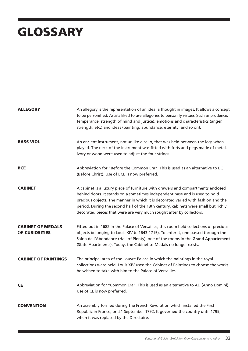# GLOSSARY

| <b>ALLEGORY</b>                                   | An allegory is the representation of an idea, a thought in images. It allows a concept<br>to be personified. Artists liked to use allegories to personify virtues (such as prudence,<br>temperance, strength of mind and justice), emotions and characteristics (anger,<br>strength, etc.) and ideas (painting, abundance, eternity, and so on).                                                                  |
|---------------------------------------------------|-------------------------------------------------------------------------------------------------------------------------------------------------------------------------------------------------------------------------------------------------------------------------------------------------------------------------------------------------------------------------------------------------------------------|
| <b>BASS VIOL</b>                                  | An ancient instrument, not unlike a cello, that was held between the legs when<br>played. The neck of the instrument was fitted with frets and pegs made of metal,<br>ivory or wood were used to adjust the four strings.                                                                                                                                                                                         |
| <b>BCE</b>                                        | Abbreviation for "Before the Common Era". This is used as an alternative to BC<br>(Before Christ). Use of BCE is now preferred.                                                                                                                                                                                                                                                                                   |
| <b>CABINET</b>                                    | A cabinet is a luxury piece of furniture with drawers and compartments enclosed<br>behind doors. It stands on a sometimes independent base and is used to hold<br>precious objects. The manner in which it is decorated varied with fashion and the<br>period. During the second half of the 18th century, cabinets were small but richly<br>decorated pieces that were are very much sought after by collectors. |
| <b>CABINET OF MEDALS</b><br><b>OR CURIOSITIES</b> | Fitted out in 1682 in the Palace of Versailles, this room held collections of precious<br>objects belonging to Louis XIV (r. 1643-1715). To enter it, one passed through the<br>Salon de l'Abondance (Hall of Plenty), one of the rooms in the Grand Appartement<br>(State Apartments). Today, the Cabinet of Medals no longer exists.                                                                            |
| <b>CABINET OF PAINTINGS</b>                       | The principal area of the Louvre Palace in which the paintings in the royal<br>collections were held. Louis XIV used the Cabinet of Paintings to choose the works<br>he wished to take with him to the Palace of Versailles.                                                                                                                                                                                      |
| <b>CE</b>                                         | Abbreviation for "Common Era". This is used as an alternative to AD (Anno Domini).<br>Use of CE is now preferred.                                                                                                                                                                                                                                                                                                 |
| <b>CONVENTION</b>                                 | An assembly formed during the French Revolution which installed the First<br>Republic in France, on 21 September 1792. It governed the country until 1795,<br>when it was replaced by the Directoire.                                                                                                                                                                                                             |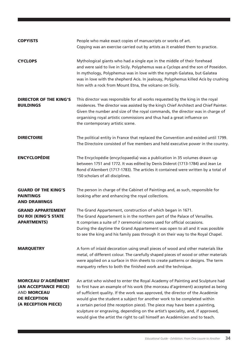| <b>COPYISTS</b>                                                                                                        | People who make exact copies of manuscripts or works of art.<br>Copying was an exercise carried out by artists as it enabled them to practice.                                                                                                                                                                                                                                                                                                                                                                                                                                  |
|------------------------------------------------------------------------------------------------------------------------|---------------------------------------------------------------------------------------------------------------------------------------------------------------------------------------------------------------------------------------------------------------------------------------------------------------------------------------------------------------------------------------------------------------------------------------------------------------------------------------------------------------------------------------------------------------------------------|
| <b>CYCLOPS</b>                                                                                                         | Mythological giants who had a single eye in the middle of their forehead<br>and were said to live in Sicily. Polyphemus was a Cyclops and the son of Poseidon.<br>In mythology, Polyphemus was in love with the nymph Galatea, but Galatea<br>was in love with the shepherd Acis. In jealousy, Polyphemus killed Acis by crushing<br>him with a rock from Mount Etna, the volcano on Sicily.                                                                                                                                                                                    |
| <b>DIRECTOR OF THE KING'S</b><br><b>BUILDINGS</b>                                                                      | This director was responsible for all works requested by the king in the royal<br>residences. The director was assisted by the king's Chief Architect and Chief Painter.<br>Given the number and size of the royal commands, the director was in charge of<br>organising royal artistic commissions and thus had a great influence on<br>the contemporary artistic scene.                                                                                                                                                                                                       |
| <b>DIRECTOIRE</b>                                                                                                      | The political entity in France that replaced the Convention and existed until 1799.<br>The Directoire consisted of five members and held executive power in the country.                                                                                                                                                                                                                                                                                                                                                                                                        |
| <b>ENCYCLOPÉDIE</b>                                                                                                    | The Encyclopédie (encyclopaedia) was a publication in 35 volumes drawn up<br>between 1751 and 1772. It was edited by Denis Diderot (1713-1784) and Jean Le<br>Rond d'Alembert (1717-1783). The articles it contained were written by a total of<br>150 scholars of all disciplines.                                                                                                                                                                                                                                                                                             |
| <b>GUARD OF THE KING'S</b><br><b>PAINTINGS</b><br><b>AND DRAWINGS</b>                                                  | The person in charge of the Cabinet of Paintings and, as such, responsible for<br>looking after and enhancing the royal collections.                                                                                                                                                                                                                                                                                                                                                                                                                                            |
| <b>GRAND APPARTEMENT</b><br><b>DU ROI (KING'S STATE</b><br><b>APARTMENTS</b>                                           | The Grand Appartement, construction of which began in 1671.<br>The Grand Appartement is in the northern part of the Palace of Versailles.<br>It comprises a suite of 7 ceremonial rooms used for official occasions.<br>During the daytime the Grand Appartement was open to all and it was possible<br>to see the king and his family pass through it on their way to the Royal Chapel.                                                                                                                                                                                        |
| <b>MARQUETRY</b>                                                                                                       | A form of inlaid decoration using small pieces of wood and other materials like<br>metal, of different colour. The carefully shaped pieces of wood or other materials<br>were applied on a surface in thin sheets to create patterns or designs. The term<br>marquetry refers to both the finished work and the technique.                                                                                                                                                                                                                                                      |
| <b>MORCEAU D'AGRÉMENT</b><br>(AN ACCEPTANCE PIECE)<br><b>AND MORCEAU</b><br><b>DE RÉCEPTION</b><br>(A RECEPTION PIECE) | An artist who wished to enter the Royal Academy of Painting and Sculpture had<br>to first have an example of his work (the morceau d'agrément) accepted as being<br>of sufficient quality. If the work was approved, the director of the Académie<br>would give the student a subject for another work to be completed within<br>a certain period (the reception piece). The piece may have been a painting,<br>sculpture or engraving, depending on the artist's speciality, and, if approved,<br>would give the artist the right to call himself an Académicien and to teach. |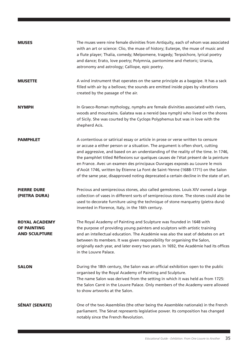| <b>MUSES</b>                                                       | The muses were nine female divinities from Antiquity, each of whom was associated<br>with an art or science: Clio, the muse of history; Euterpe, the muse of music and<br>a flute player; Thalia, comedy; Melpomene, tragedy; Terpsichore, lyrical poetry<br>and dance; Erato, love poetry; Polymnia, pantomime and rhetoric; Urania,<br>astronomy and astrology; Calliope, epic poetry.                                                                                                                                                                                                                    |
|--------------------------------------------------------------------|-------------------------------------------------------------------------------------------------------------------------------------------------------------------------------------------------------------------------------------------------------------------------------------------------------------------------------------------------------------------------------------------------------------------------------------------------------------------------------------------------------------------------------------------------------------------------------------------------------------|
| <b>MUSETTE</b>                                                     | A wind instrument that operates on the same principle as a bagpipe. It has a sack<br>filled with air by a bellows; the sounds are emitted inside pipes by vibrations<br>created by the passage of the air.                                                                                                                                                                                                                                                                                                                                                                                                  |
| NYMPH                                                              | In Graeco-Roman mythology, nymphs are female divinities associated with rivers,<br>woods and mountains. Galatea was a nereid (sea nymph) who lived on the shores<br>of Sicily. She was courted by the Cyclops Polyphemus but was in love with the<br>shepherd Acis.                                                                                                                                                                                                                                                                                                                                         |
| <b>PAMPHLET</b>                                                    | A contentious or satirical essay or article in prose or verse written to censure<br>or accuse a either person or a situation. The argument is often short, cutting<br>and aggressive, and based on an understanding of the reality of the time. In 1746,<br>the pamphlet titled Réflexions sur quelques causes de l'état présent de la peinture<br>en France. Avec un examen des principaux Ouvrages exposés au Louvre le mois<br>d'Août 1746, written by Étienne La Font de Saint-Yenne (1688-1771) on the Salon<br>of the same year, disapproved noting deprecated a certain decline in the state of art. |
| <b>PIERRE DURE</b><br>(PIETRA DURA)                                | Precious and semiprecious stones, also called gemstones. Louis XIV owned a large<br>collection of vases in different sorts of semiprecious stone. The stones could also be<br>used to decorate furniture using the technique of stone marquetry (pietra dura)<br>invented in Florence, Italy, in the 16th century.                                                                                                                                                                                                                                                                                          |
| <b>ROYAL ACADEMY</b><br><b>OF PAINTING</b><br><b>AND SCULPTURE</b> | The Royal Academy of Painting and Sculpture was founded in 1648 with<br>the purpose of providing young painters and sculptors with artistic training<br>and an intellectual education. The Académie was also the seat of debates on art<br>between its members. It was given responsibility for organising the Salon,<br>originally each year, and later every two years. In 1692, the Académie had its offices<br>in the Louvre Palace.                                                                                                                                                                    |
| <b>SALON</b>                                                       | During the 18th century, the Salon was an official exhibition open to the public<br>organised by the Royal Academy of Painting and Sculpture.<br>The name Salon was derived from the setting in which it was held as from 1725:<br>the Salon Carré in the Louvre Palace. Only members of the Academy were allowed<br>to show artworks at the Salon.                                                                                                                                                                                                                                                         |
| <b>SÉNAT (SENATE)</b>                                              | One of the two Assemblies (the other being the Assemblée nationale) in the French<br>parliament. The Sénat represents legislative power. Its composition has changed<br>notably since the French Revolution.                                                                                                                                                                                                                                                                                                                                                                                                |